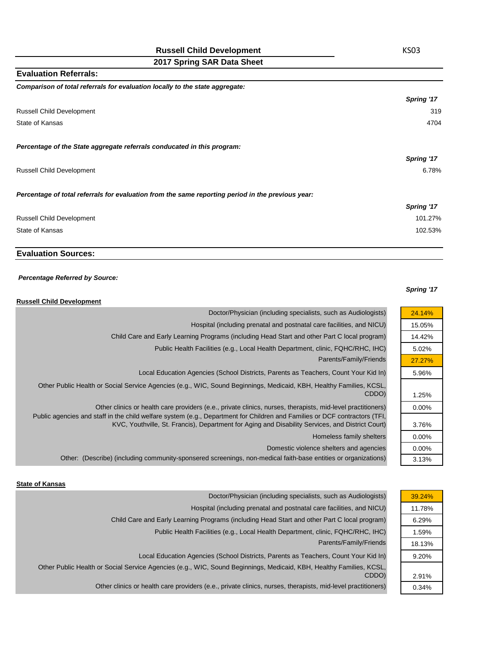**2017 Spring SAR Data Sheet**

| <b>Evaluation Referrals:</b>                                                                      |            |
|---------------------------------------------------------------------------------------------------|------------|
| Comparison of total referrals for evaluation locally to the state aggregate:                      |            |
|                                                                                                   | Spring '17 |
| <b>Russell Child Development</b>                                                                  | 319        |
| State of Kansas                                                                                   | 4704       |
| Percentage of the State aggregate referrals conducated in this program:                           |            |
|                                                                                                   | Spring '17 |
| <b>Russell Child Development</b>                                                                  | 6.78%      |
| Percentage of total referrals for evaluation from the same reporting period in the previous year: |            |
|                                                                                                   | Spring '17 |
| <b>Russell Child Development</b>                                                                  | 101.27%    |
| State of Kansas                                                                                   | 102.53%    |

## **Evaluation Sources:**

#### *Percentage Referred by Source:*

### **Russell Child Development**

| 24.14%   | Doctor/Physician (including specialists, such as Audiologists)                                                                                                                                                                 |
|----------|--------------------------------------------------------------------------------------------------------------------------------------------------------------------------------------------------------------------------------|
| 15.05%   | Hospital (including prenatal and postnatal care facilities, and NICU)                                                                                                                                                          |
| 14.42%   | Child Care and Early Learning Programs (including Head Start and other Part C local program)                                                                                                                                   |
| 5.02%    | Public Health Facilities (e.g., Local Health Department, clinic, FQHC/RHC, IHC)                                                                                                                                                |
| 27.27%   | Parents/Family/Friends                                                                                                                                                                                                         |
| 5.96%    | Local Education Agencies (School Districts, Parents as Teachers, Count Your Kid In)                                                                                                                                            |
| 1.25%    | Other Public Health or Social Service Agencies (e.g., WIC, Sound Beginnings, Medicaid, KBH, Healthy Families, KCSL,<br>CDDO)                                                                                                   |
| $0.00\%$ | Other clinics or health care providers (e.e., private clinics, nurses, therapists, mid-level practitioners)                                                                                                                    |
| 3.76%    | Public agencies and staff in the child welfare system (e.g., Department for Children and Families or DCF contractors (TFI,<br>KVC, Youthville, St. Francis), Department for Aging and Disability Services, and District Court) |
| 0.00%    | Homeless family shelters                                                                                                                                                                                                       |
| $0.00\%$ | Domestic violence shelters and agencies                                                                                                                                                                                        |
| 3.13%    | Other: (Describe) (including community-sponsered screenings, non-medical faith-base entities or organizations)                                                                                                                 |

## **State of Kansas**

| Doctor/Physician (including specialists, such as Audiologists)                                                      | 39.24% |
|---------------------------------------------------------------------------------------------------------------------|--------|
| Hospital (including prenatal and postnatal care facilities, and NICU)                                               | 11.78% |
| Child Care and Early Learning Programs (including Head Start and other Part C local program)                        | 6.29%  |
| Public Health Facilities (e.g., Local Health Department, clinic, FQHC/RHC, IHC)                                     | 1.59%  |
| Parents/Family/Friends                                                                                              | 18.13% |
| Local Education Agencies (School Districts, Parents as Teachers, Count Your Kid In)                                 | 9.20%  |
| Other Public Health or Social Service Agencies (e.g., WIC, Sound Beginnings, Medicaid, KBH, Healthy Families, KCSL, |        |
| CDDO)                                                                                                               | 2.91%  |
| Other clinics or health care providers (e.e., private clinics, nurses, therapists, mid-level practitioners)         | 0.34%  |

## KS03

# *Spring '17*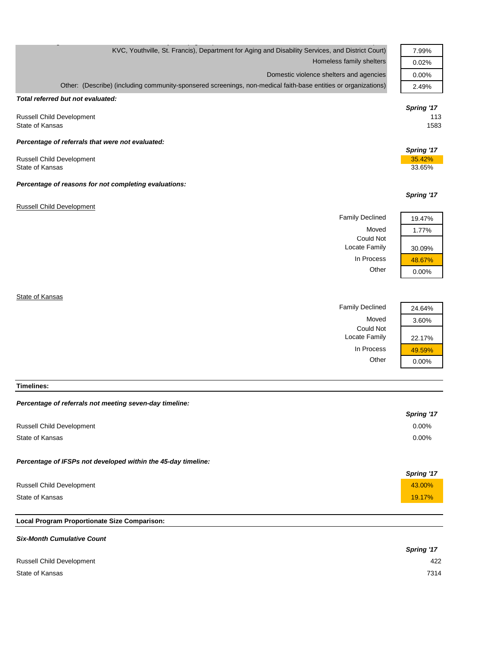| KVC, Youthville, St. Francis), Department for Aging and Disability Services, and District Court)               | 7.99%      |
|----------------------------------------------------------------------------------------------------------------|------------|
| Homeless family shelters                                                                                       | 0.02%      |
| Domestic violence shelters and agencies                                                                        | 0.00%      |
| Other: (Describe) (including community-sponsered screenings, non-medical faith-base entities or organizations) | 2.49%      |
| Total referred but not evaluated:                                                                              |            |
|                                                                                                                | Spring '17 |
| <b>Russell Child Development</b>                                                                               | 113        |
| State of Kansas                                                                                                | 1583       |
| Percentage of referrals that were not evaluated:                                                               |            |
|                                                                                                                | Spring '17 |
| <b>Russell Child Development</b>                                                                               | 35.42%     |
| State of Kansas                                                                                                | 33.65%     |
| Percentage of reasons for not completing evaluations:                                                          |            |
|                                                                                                                | Spring '17 |
| <b>Russell Child Development</b>                                                                               |            |
| <b>Family Declined</b>                                                                                         | 19.47%     |
| Moved                                                                                                          | 1.77%      |
| <b>Could Not</b>                                                                                               |            |
| Locate Family                                                                                                  | 30.09%     |
| In Process                                                                                                     | 48.67%     |
| Other                                                                                                          | 0.00%      |
|                                                                                                                |            |
| State of Kansas                                                                                                |            |
| <b>Family Declined</b>                                                                                         | 24.64%     |
|                                                                                                                |            |

Moved 3.60%

Locate Family 22.17%

In Process  $\frac{49.59\%}{0.00\%}$ 

 $0.00%$ 

Could Not

### **Timelines:**

### *Percentage of referrals not meeting seven-day timeline:*

|                                                               | Spring '17 |
|---------------------------------------------------------------|------------|
| <b>Russell Child Development</b>                              | $0.00\%$   |
| State of Kansas                                               | $0.00\%$   |
| Percentage of IFSPs not developed within the 45-day timeline: |            |
|                                                               | Spring '17 |
| <b>Russell Child Development</b>                              | 43.00%     |
| State of Kansas                                               | 19.17%     |

## **Local Program Proportionate Size Comparison:**

| <b>Six-Month Cumulative Count</b> |            |
|-----------------------------------|------------|
|                                   | Spring '17 |
| <b>Russell Child Development</b>  | 422        |
| State of Kansas                   | 7314       |